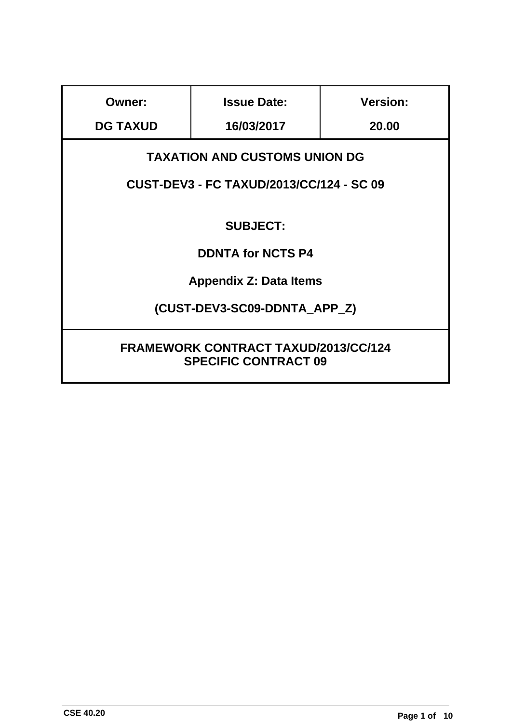| <b>Owner:</b>                                                                           | <b>Issue Date:</b> | <b>Version:</b> |
|-----------------------------------------------------------------------------------------|--------------------|-----------------|
| <b>DG TAXUD</b>                                                                         | 16/03/2017         | 20.00           |
| <b>TAXATION AND CUSTOMS UNION DG</b><br><b>CUST-DEV3 - FC TAXUD/2013/CC/124 - SC 09</b> |                    |                 |
| <b>SUBJECT:</b>                                                                         |                    |                 |
| <b>DDNTA for NCTS P4</b>                                                                |                    |                 |
| <b>Appendix Z: Data Items</b>                                                           |                    |                 |
| (CUST-DEV3-SC09-DDNTA_APP_Z)                                                            |                    |                 |
| <b>FRAMEWORK CONTRACT TAXUD/2013/CC/124</b><br><b>SPECIFIC CONTRACT 09</b>              |                    |                 |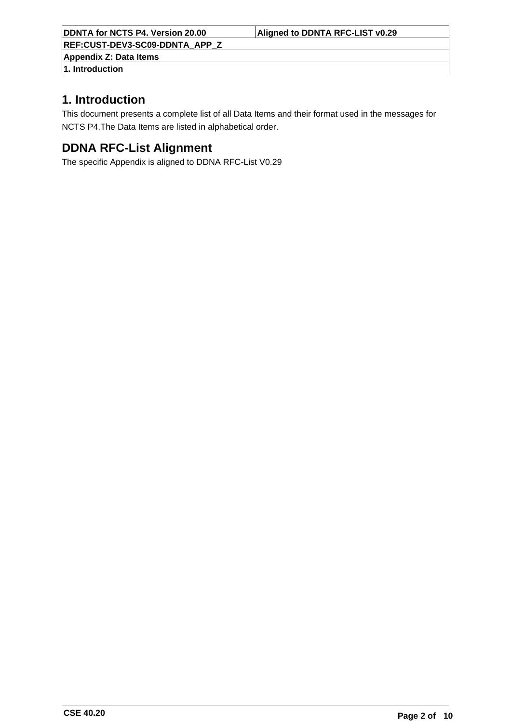**Appendix Z: Data Items**

## **1. Introduction**

## **1. Introduction**

This document presents a complete list of all Data Items and their format used in the messages for NCTS P4.The Data Items are listed in alphabetical order.

## **DDNA RFC-List Alignment**

The specific Appendix is aligned to DDNA RFC-List V0.29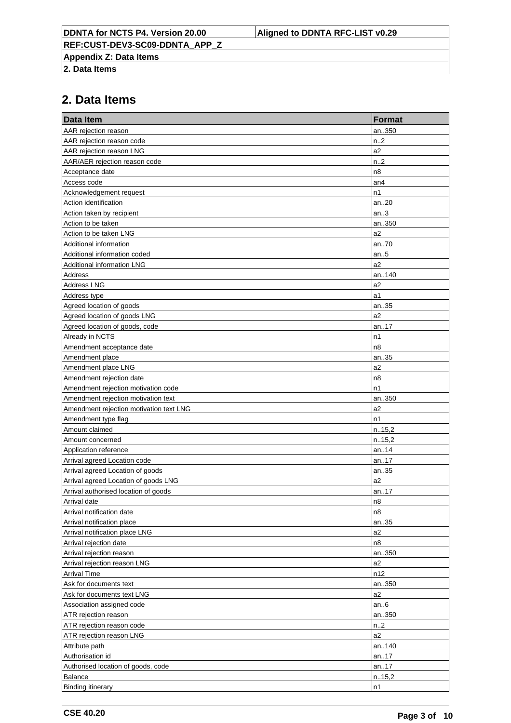**Appendix Z: Data Items**

**2. Data Items**

| <b>Data Item</b>                        | <b>Format</b>    |
|-----------------------------------------|------------------|
| AAR rejection reason                    | an350            |
| AAR rejection reason code               | n <sub>1</sub> 2 |
| AAR rejection reason LNG                | a2               |
| AAR/AER rejection reason code           | n.2              |
| Acceptance date                         | n8               |
| Access code                             | an4              |
| Acknowledgement request                 | n1               |
| Action identification                   | an20             |
| Action taken by recipient               | an.3             |
| Action to be taken                      | an350            |
| Action to be taken LNG                  | a2               |
| Additional information                  | an70             |
| Additional information coded            | an.5             |
| <b>Additional information LNG</b>       | a2               |
| Address                                 | an140            |
| <b>Address LNG</b>                      | a2               |
| Address type                            | a1               |
| Agreed location of goods                | an35             |
| Agreed location of goods LNG            | a2               |
| Agreed location of goods, code          | an17             |
| Already in NCTS                         | n1               |
| Amendment acceptance date               | n8               |
| Amendment place                         | an35             |
| Amendment place LNG                     | a2               |
| Amendment rejection date                | n8               |
| Amendment rejection motivation code     | n1               |
| Amendment rejection motivation text     | an350            |
| Amendment rejection motivation text LNG | a <sub>2</sub>   |
| Amendment type flag                     | n1               |
| Amount claimed                          | n.15,2           |
| Amount concerned                        | n.15,2           |
| Application reference                   | an14             |
| Arrival agreed Location code            | an17             |
| Arrival agreed Location of goods        | an35             |
| Arrival agreed Location of goods LNG    | a2               |
| Arrival authorised location of goods    | an17             |
| Arrival date                            | n8               |
| Arrival notification date               | n8               |
| Arrival notification place              | an35             |
| Arrival notification place LNG          | a2               |
| Arrival rejection date                  | n8               |
| Arrival rejection reason                | an350            |
| Arrival rejection reason LNG            | a2               |
| <b>Arrival Time</b>                     | n12              |
| Ask for documents text                  | an350            |
| Ask for documents text LNG              | a <sub>2</sub>   |
| Association assigned code               | an.6             |
| ATR rejection reason                    | an350            |
| ATR rejection reason code               | n.2              |
| ATR rejection reason LNG                | a2               |
| Attribute path                          | an140            |
| Authorisation id                        | an17             |
| Authorised location of goods, code      | an17             |
| Balance                                 | n.15,2           |
| <b>Binding itinerary</b>                | n1               |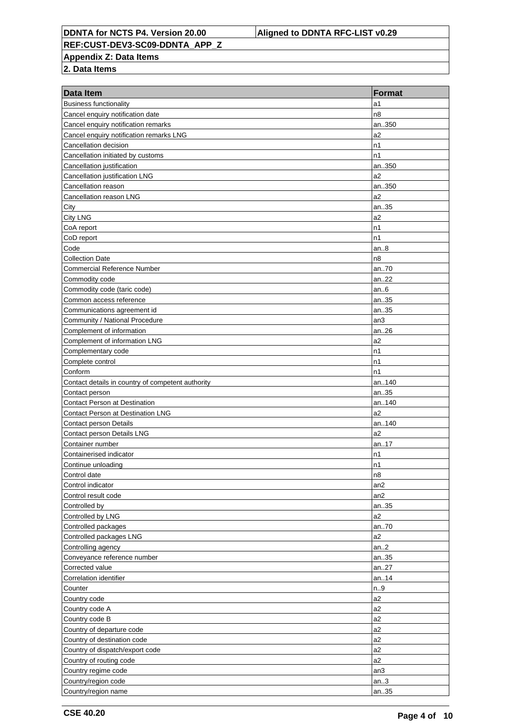**REF:CUST-DEV3-SC09-DDNTA\_APP\_Z**

**Appendix Z: Data Items**

| Data Item                                         | <b>Format</b>   |
|---------------------------------------------------|-----------------|
| <b>Business functionality</b>                     | a1              |
| Cancel enquiry notification date                  | n8              |
| Cancel enquiry notification remarks               | an350           |
| Cancel enquiry notification remarks LNG           | a <sub>2</sub>  |
| Cancellation decision                             | n1              |
| Cancellation initiated by customs                 | n1              |
| Cancellation justification                        | an350           |
| Cancellation justification LNG                    | a2              |
| Cancellation reason                               | an350           |
| Cancellation reason LNG                           | a <sub>2</sub>  |
| City                                              | an35            |
| <b>City LNG</b>                                   | a <sub>2</sub>  |
| CoA report                                        | n1              |
| CoD report                                        | n1              |
| Code                                              | an.8            |
| <b>Collection Date</b>                            | n8              |
| <b>Commercial Reference Number</b>                | an70            |
| Commodity code                                    | an22            |
| Commodity code (taric code)                       | an.6            |
| Common access reference                           | an35            |
| Communications agreement id                       | an35            |
| Community / National Procedure                    | an3             |
| Complement of information                         | an26            |
| Complement of information LNG                     | a <sub>2</sub>  |
| Complementary code                                | n1              |
| Complete control                                  | n1              |
| Conform                                           | n1              |
| Contact details in country of competent authority | an140           |
| Contact person                                    | an35            |
| <b>Contact Person at Destination</b>              | an140           |
| <b>Contact Person at Destination LNG</b>          | a <sub>2</sub>  |
| Contact person Details                            | an140           |
| Contact person Details LNG                        | a <sub>2</sub>  |
| Container number                                  | an17            |
| Containerised indicator                           | n1              |
| Continue unloading                                | n1              |
| Control date                                      | n8              |
| Control indicator                                 | an <sub>2</sub> |
| Control result code                               | an <sub>2</sub> |
| Controlled by                                     | an35            |
| Controlled by LNG                                 | a2              |
| Controlled packages                               | an70            |
| Controlled packages LNG                           | a2              |
| Controlling agency                                | an.2            |
| Conveyance reference number                       | an35            |
| Corrected value                                   | an27            |
| Correlation identifier                            | an14            |
| Counter                                           | n.9             |
| Country code                                      | a2              |
| Country code A                                    | a2              |
| Country code B                                    | a2              |
| Country of departure code                         | a2              |
| Country of destination code                       | a2              |
| Country of dispatch/export code                   | a2              |
| Country of routing code                           | a2              |
| Country regime code                               | an3             |
| Country/region code                               | an.3            |
|                                                   |                 |
| Country/region name                               | an35            |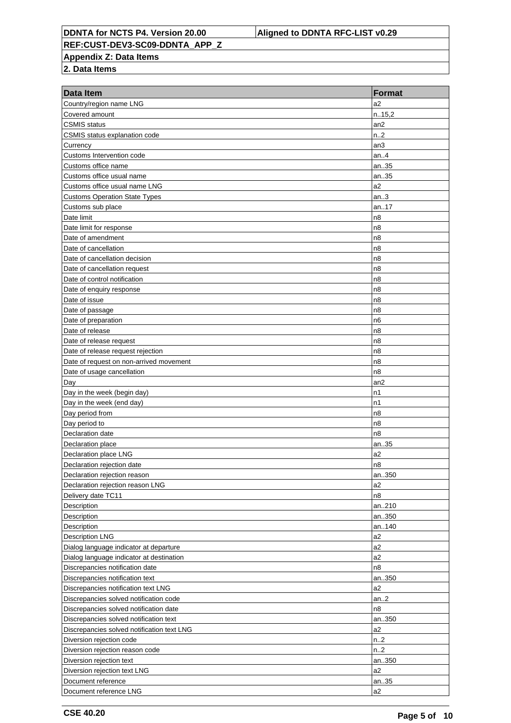**Appendix Z: Data Items**

| Data Item                                  | <b>Format</b>    |
|--------------------------------------------|------------------|
| Country/region name LNG                    | a2               |
| Covered amount                             | n.15,2           |
| <b>CSMIS</b> status                        | an2              |
| CSMIS status explanation code              | n.2              |
| Currency                                   | an3              |
| Customs Intervention code                  | an.4             |
| Customs office name                        | an35             |
| Customs office usual name                  | an35             |
| Customs office usual name LNG              | a2               |
| <b>Customs Operation State Types</b>       | an.3             |
| Customs sub place                          | an17             |
| Date limit                                 | n8               |
| Date limit for response                    | n8               |
| Date of amendment                          | n <sub>8</sub>   |
| Date of cancellation                       | n8               |
| Date of cancellation decision              | n <sub>8</sub>   |
| Date of cancellation request               | n <sub>8</sub>   |
| Date of control notification               | n <sub>8</sub>   |
| Date of enquiry response                   | n <sub>8</sub>   |
| Date of issue                              | n <sub>8</sub>   |
| Date of passage                            | n <sub>8</sub>   |
| Date of preparation                        | n6               |
| Date of release                            | n <sub>8</sub>   |
| Date of release request                    | n <sub>8</sub>   |
| Date of release request rejection          | n <sub>8</sub>   |
| Date of request on non-arrived movement    | n <sub>8</sub>   |
| Date of usage cancellation                 | n8               |
| Day                                        | an2              |
| Day in the week (begin day)                | n1               |
| Day in the week (end day)                  | n1               |
| Day period from                            | n <sub>8</sub>   |
| Day period to                              | n <sub>8</sub>   |
| Declaration date                           | n8               |
| Declaration place                          | an35             |
| Declaration place LNG                      | a <sub>2</sub>   |
| Declaration rejection date                 | n8               |
| Declaration rejection reason               | an350            |
| Declaration rejection reason LNG           | a2               |
| Delivery date TC11                         | n8               |
| Description                                | an210            |
| Description                                | an350            |
| Description                                | an140            |
| <b>Description LNG</b>                     | a2               |
| Dialog language indicator at departure     | a2               |
| Dialog language indicator at destination   | a2               |
| Discrepancies notification date            | n8               |
| Discrepancies notification text            | an350            |
| Discrepancies notification text LNG        | a2               |
| Discrepancies solved notification code     | an.2             |
| Discrepancies solved notification date     | n8               |
| Discrepancies solved notification text     | an350            |
| Discrepancies solved notification text LNG | a2               |
| Diversion rejection code                   | n <sub>1</sub> 2 |
| Diversion rejection reason code            | n.2              |
| Diversion rejection text                   | an350            |
| Diversion rejection text LNG               | a2               |
| Document reference                         | an35             |
| Document reference LNG                     | a2               |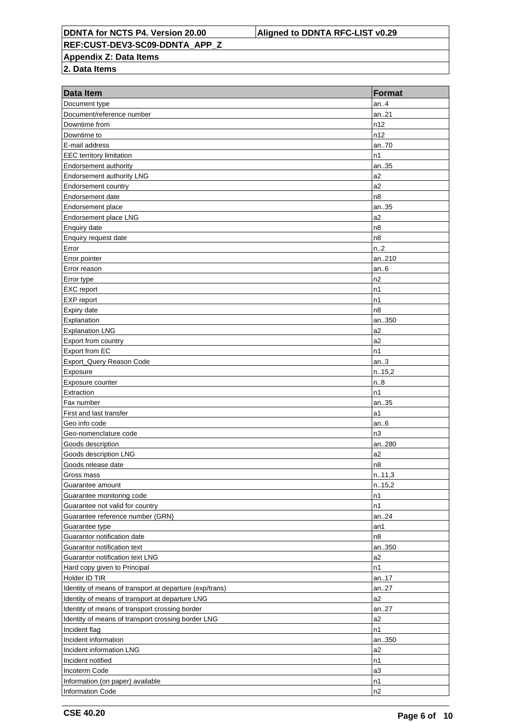**Appendix Z: Data Items**

| Data Item                                               | <b>Format</b>  |
|---------------------------------------------------------|----------------|
| Document type                                           | an.4           |
| Document/reference number                               | an.21          |
| Downtime from                                           | n12            |
| Downtime to                                             | n12            |
| E-mail address                                          | an70           |
| <b>EEC</b> territory limitation                         | n1             |
| Endorsement authority                                   | an35           |
| Endorsement authority LNG                               | a2             |
| <b>Endorsement country</b>                              | a2             |
| Endorsement date                                        | n8             |
| Endorsement place                                       | an35           |
| Endorsement place LNG                                   | a <sub>2</sub> |
| Enquiry date                                            | n8             |
| Enquiry request date                                    | n8             |
| Error                                                   | n.2            |
| Error pointer                                           | an210          |
| Error reason                                            | an.6           |
| Error type                                              | n2             |
| <b>EXC</b> report                                       | n1             |
| EXP report                                              | n1             |
| Expiry date                                             | n8             |
| Explanation                                             | an350          |
| <b>Explanation LNG</b>                                  | a2             |
| Export from country                                     | a2             |
| Export from EC                                          | n1             |
| Export_Query Reason Code                                | an.3           |
| Exposure                                                | n.15,2         |
| Exposure counter                                        | n.8            |
| Extraction                                              | n1             |
| Fax number                                              | an35           |
| First and last transfer                                 | a1             |
| Geo info code                                           | an.6           |
| Geo-nomenclature code                                   | n3             |
| Goods description                                       | an280          |
| Goods description LNG                                   | a <sub>2</sub> |
| Goods release date                                      | n8             |
| Gross mass                                              | n.11,3         |
| Guarantee amount                                        | n.15,2         |
| Guarantee monitoring code                               | n1             |
| Guarantee not valid for country                         | n1             |
| Guarantee reference number (GRN)                        | an24           |
| Guarantee type                                          | an1            |
| Guarantor notification date                             | n8             |
| Guarantor notification text                             | an350          |
| Guarantor notification text LNG                         | a2             |
| Hard copy given to Principal                            | n1             |
| Holder ID TIR                                           | an17           |
| Identity of means of transport at departure (exp/trans) | an27           |
| Identity of means of transport at departure LNG         | a2             |
| Identity of means of transport crossing border          | an27           |
| Identity of means of transport crossing border LNG      | a2             |
| Incident flag                                           | n1             |
| Incident information                                    | an350          |
| Incident information LNG                                | a2             |
| Incident notified                                       | n1             |
| Incoterm Code                                           | a3             |
| Information (on paper) available                        | n1             |
| <b>Information Code</b>                                 | n2             |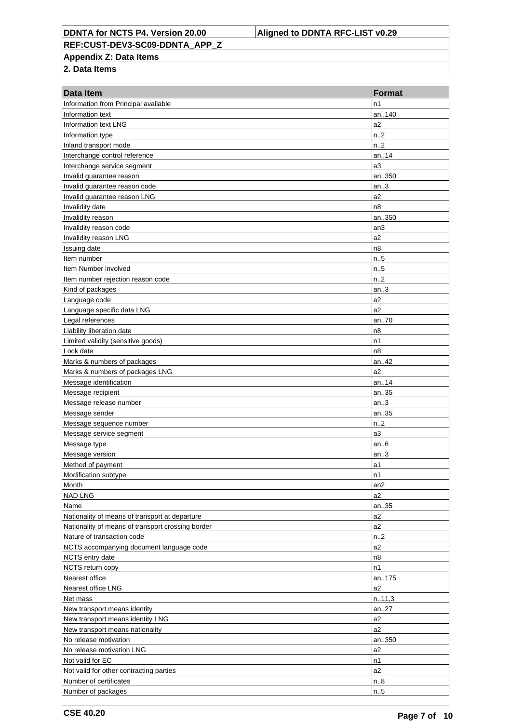**REF:CUST-DEV3-SC09-DDNTA\_APP\_Z**

**Appendix Z: Data Items**

| Data Item                                         | <b>Format</b>    |
|---------------------------------------------------|------------------|
| Information from Principal available              | n1               |
| Information text                                  | an140            |
| Information text LNG                              | a2               |
| Information type                                  | n <sub>1</sub> 2 |
| Inland transport mode                             | n.2              |
| Interchange control reference                     | an14             |
| Interchange service segment                       | a <sub>3</sub>   |
| Invalid guarantee reason                          | an350            |
| Invalid guarantee reason code                     | an.3             |
| Invalid guarantee reason LNG                      | a2               |
| Invalidity date                                   | n8               |
| Invalidity reason                                 | an350            |
| Invalidity reason code                            | an3              |
| Invalidity reason LNG                             | a2               |
| Issuing date                                      | n8               |
| Item number                                       | n.5              |
| Item Number involved                              | n.5              |
| Item number rejection reason code                 | n.2              |
| Kind of packages                                  | an.3             |
| Language code                                     | a2               |
| Language specific data LNG                        | a2               |
| Legal references                                  | an70             |
| Liability liberation date                         | n8               |
| Limited validity (sensitive goods)                | n1               |
| Lock date                                         | n8               |
| Marks & numbers of packages                       | an42             |
| Marks & numbers of packages LNG                   | a2               |
| Message identification                            | an14             |
| Message recipient                                 | an35             |
| Message release number                            | an.3             |
| Message sender                                    | an35             |
| Message sequence number                           | n.2              |
| Message service segment                           | a <sub>3</sub>   |
| Message type                                      | an.6             |
| Message version                                   | an.3             |
| Method of payment                                 | a1               |
| Modification subtype                              | n1               |
| Month                                             | an <sub>2</sub>  |
| <b>NAD LNG</b>                                    | a2               |
| Name                                              | an35             |
| Nationality of means of transport at departure    | a2               |
| Nationality of means of transport crossing border | a2               |
| Nature of transaction code                        | n.2              |
| NCTS accompanying document language code          | a2               |
| NCTS entry date                                   | n8               |
| NCTS return copy                                  | n1               |
| Nearest office                                    | an175            |
| Nearest office LNG                                | a2               |
| Net mass                                          | n.11,3           |
| New transport means identity                      | an27             |
| New transport means identity LNG                  | a2               |
| New transport means nationality                   | a2               |
| No release motivation                             | an350            |
| No release motivation LNG                         | a2               |
| Not valid for EC                                  | n1               |
| Not valid for other contracting parties           | a2               |
| Number of certificates                            | n.8              |
| Number of packages                                | n.5              |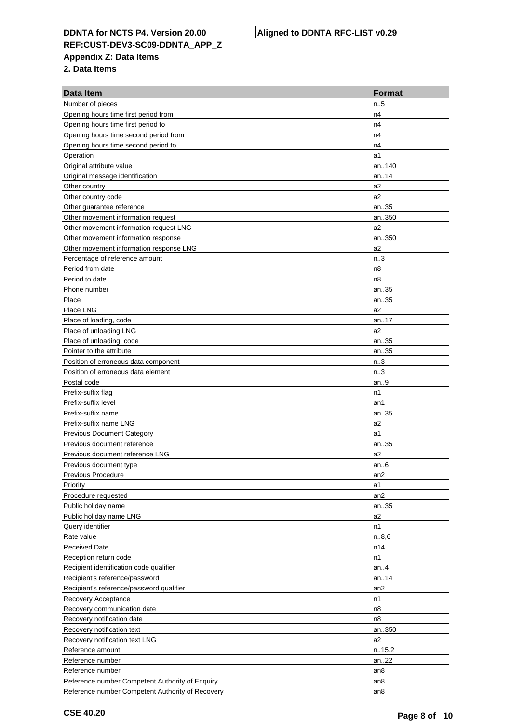**REF:CUST-DEV3-SC09-DDNTA\_APP\_Z**

**Appendix Z: Data Items**

| Data Item                                        | <b>Format</b>   |
|--------------------------------------------------|-----------------|
| Number of pieces                                 | n.5             |
| Opening hours time first period from             | n4              |
| Opening hours time first period to               | n4              |
| Opening hours time second period from            | n4              |
| Opening hours time second period to              | n4              |
| Operation                                        | a1              |
| Original attribute value                         | an140           |
| Original message identification                  | an14            |
| Other country                                    | a2              |
| Other country code                               | a2              |
| Other guarantee reference                        | an35            |
| Other movement information request               | an350           |
| Other movement information request LNG           | a2              |
| Other movement information response              | an350           |
| Other movement information response LNG          | a2              |
| Percentage of reference amount                   | n.3             |
| Period from date                                 | n8              |
| Period to date                                   | n8              |
| Phone number                                     | an35            |
| Place                                            | an35            |
| Place LNG                                        | a2              |
| Place of loading, code                           | an17            |
| Place of unloading LNG                           | a2              |
| Place of unloading, code                         | an35            |
| Pointer to the attribute                         | an35            |
| Position of erroneous data component             | n.3             |
| Position of erroneous data element               | n.3             |
| Postal code                                      | an.9            |
| Prefix-suffix flag                               | n1              |
| Prefix-suffix level                              | an1             |
| Prefix-suffix name                               | an35            |
| Prefix-suffix name LNG                           | a2              |
| <b>Previous Document Category</b>                | a1              |
| Previous document reference                      | an35            |
| Previous document reference LNG                  | a <sub>2</sub>  |
| Previous document type                           | an $6$          |
| Previous Procedure                               | an <sub>2</sub> |
| Priority                                         | a1              |
| Procedure requested                              | an2             |
| Public holiday name                              | an35            |
| Public holiday name LNG                          | a <sub>2</sub>  |
| Query identifier                                 | n1              |
| Rate value                                       | n.8,6           |
| <b>Received Date</b>                             | n14             |
| Reception return code                            | n1              |
| Recipient identification code qualifier          | an.4            |
| Recipient's reference/password                   | an14            |
| Recipient's reference/password qualifier         | an <sub>2</sub> |
| Recovery Acceptance                              | n1              |
| Recovery communication date                      | n8              |
| Recovery notification date                       | n8              |
| Recovery notification text                       | an350           |
| Recovery notification text LNG                   | a2              |
| Reference amount                                 | n.15,2          |
| Reference number                                 | an22            |
| Reference number                                 | an <sub>8</sub> |
| Reference number Competent Authority of Enquiry  | an <sub>8</sub> |
| Reference number Competent Authority of Recovery | an <sub>8</sub> |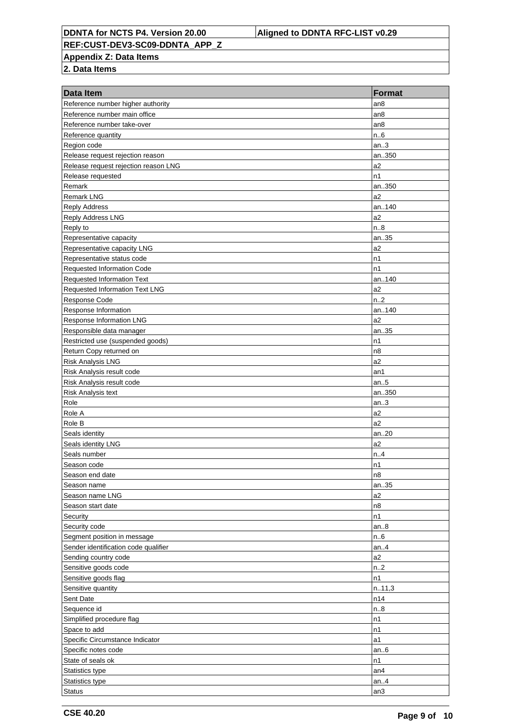**REF:CUST-DEV3-SC09-DDNTA\_APP\_Z**

**Appendix Z: Data Items**

| Reference number higher authority<br>an <sub>8</sub><br>Reference number main office<br>an <sub>8</sub><br>Reference number take-over<br>an <sub>8</sub><br>Reference quantity<br>n.6<br>an.3<br>Region code<br>Release request rejection reason<br>an350<br>a2<br>Release request rejection reason LNG<br>n1<br>Release requested<br>Remark<br>an350<br><b>Remark LNG</b><br>a2<br>an140<br><b>Reply Address</b><br>Reply Address LNG<br>a2<br>Reply to<br>n.8<br>Representative capacity<br>an35<br>a2<br>Representative capacity LNG<br>n1<br>Representative status code<br>n1<br><b>Requested Information Code</b><br><b>Requested Information Text</b><br>an140<br>a2<br>Requested Information Text LNG<br>n.2<br>Response Code<br>an140<br>Response Information<br>a2<br><b>Response Information LNG</b><br>an35<br>Responsible data manager<br>Restricted use (suspended goods)<br>n1<br>Return Copy returned on<br>n <sub>8</sub><br>a2<br><b>Risk Analysis LNG</b><br>Risk Analysis result code<br>an1<br>Risk Analysis result code<br>an.5<br>Risk Analysis text<br>an350<br>Role<br>an.3<br>Role A<br>a2<br>a2<br>Role B<br>an20<br>Seals identity<br>a2<br>Seals identity LNG<br>Seals number<br>n.4<br>Season code<br>n1<br>Season end date<br>n <sub>8</sub><br>an35<br>Season name<br>a2<br>Season name LNG<br>n8<br>Season start date<br>n1<br>Security<br>Security code<br>an.8<br>Segment position in message<br>n.6<br>Sender identification code qualifier<br>an.4<br>Sending country code<br>a2<br>Sensitive goods code<br>n2<br>Sensitive goods flag<br>n1<br>Sensitive quantity<br>n.11,3<br>Sent Date<br>n14<br>Sequence id<br>n.8<br>Simplified procedure flag<br>n1<br>Space to add<br>n1<br>Specific Circumstance Indicator<br>a1 | Data Item | <b>Format</b> |
|--------------------------------------------------------------------------------------------------------------------------------------------------------------------------------------------------------------------------------------------------------------------------------------------------------------------------------------------------------------------------------------------------------------------------------------------------------------------------------------------------------------------------------------------------------------------------------------------------------------------------------------------------------------------------------------------------------------------------------------------------------------------------------------------------------------------------------------------------------------------------------------------------------------------------------------------------------------------------------------------------------------------------------------------------------------------------------------------------------------------------------------------------------------------------------------------------------------------------------------------------------------------------------------------------------------------------------------------------------------------------------------------------------------------------------------------------------------------------------------------------------------------------------------------------------------------------------------------------------------------------------------------------------------------------------------------------------------------------------------------------------------|-----------|---------------|
|                                                                                                                                                                                                                                                                                                                                                                                                                                                                                                                                                                                                                                                                                                                                                                                                                                                                                                                                                                                                                                                                                                                                                                                                                                                                                                                                                                                                                                                                                                                                                                                                                                                                                                                                                              |           |               |
|                                                                                                                                                                                                                                                                                                                                                                                                                                                                                                                                                                                                                                                                                                                                                                                                                                                                                                                                                                                                                                                                                                                                                                                                                                                                                                                                                                                                                                                                                                                                                                                                                                                                                                                                                              |           |               |
|                                                                                                                                                                                                                                                                                                                                                                                                                                                                                                                                                                                                                                                                                                                                                                                                                                                                                                                                                                                                                                                                                                                                                                                                                                                                                                                                                                                                                                                                                                                                                                                                                                                                                                                                                              |           |               |
|                                                                                                                                                                                                                                                                                                                                                                                                                                                                                                                                                                                                                                                                                                                                                                                                                                                                                                                                                                                                                                                                                                                                                                                                                                                                                                                                                                                                                                                                                                                                                                                                                                                                                                                                                              |           |               |
|                                                                                                                                                                                                                                                                                                                                                                                                                                                                                                                                                                                                                                                                                                                                                                                                                                                                                                                                                                                                                                                                                                                                                                                                                                                                                                                                                                                                                                                                                                                                                                                                                                                                                                                                                              |           |               |
|                                                                                                                                                                                                                                                                                                                                                                                                                                                                                                                                                                                                                                                                                                                                                                                                                                                                                                                                                                                                                                                                                                                                                                                                                                                                                                                                                                                                                                                                                                                                                                                                                                                                                                                                                              |           |               |
|                                                                                                                                                                                                                                                                                                                                                                                                                                                                                                                                                                                                                                                                                                                                                                                                                                                                                                                                                                                                                                                                                                                                                                                                                                                                                                                                                                                                                                                                                                                                                                                                                                                                                                                                                              |           |               |
|                                                                                                                                                                                                                                                                                                                                                                                                                                                                                                                                                                                                                                                                                                                                                                                                                                                                                                                                                                                                                                                                                                                                                                                                                                                                                                                                                                                                                                                                                                                                                                                                                                                                                                                                                              |           |               |
|                                                                                                                                                                                                                                                                                                                                                                                                                                                                                                                                                                                                                                                                                                                                                                                                                                                                                                                                                                                                                                                                                                                                                                                                                                                                                                                                                                                                                                                                                                                                                                                                                                                                                                                                                              |           |               |
|                                                                                                                                                                                                                                                                                                                                                                                                                                                                                                                                                                                                                                                                                                                                                                                                                                                                                                                                                                                                                                                                                                                                                                                                                                                                                                                                                                                                                                                                                                                                                                                                                                                                                                                                                              |           |               |
|                                                                                                                                                                                                                                                                                                                                                                                                                                                                                                                                                                                                                                                                                                                                                                                                                                                                                                                                                                                                                                                                                                                                                                                                                                                                                                                                                                                                                                                                                                                                                                                                                                                                                                                                                              |           |               |
|                                                                                                                                                                                                                                                                                                                                                                                                                                                                                                                                                                                                                                                                                                                                                                                                                                                                                                                                                                                                                                                                                                                                                                                                                                                                                                                                                                                                                                                                                                                                                                                                                                                                                                                                                              |           |               |
|                                                                                                                                                                                                                                                                                                                                                                                                                                                                                                                                                                                                                                                                                                                                                                                                                                                                                                                                                                                                                                                                                                                                                                                                                                                                                                                                                                                                                                                                                                                                                                                                                                                                                                                                                              |           |               |
|                                                                                                                                                                                                                                                                                                                                                                                                                                                                                                                                                                                                                                                                                                                                                                                                                                                                                                                                                                                                                                                                                                                                                                                                                                                                                                                                                                                                                                                                                                                                                                                                                                                                                                                                                              |           |               |
|                                                                                                                                                                                                                                                                                                                                                                                                                                                                                                                                                                                                                                                                                                                                                                                                                                                                                                                                                                                                                                                                                                                                                                                                                                                                                                                                                                                                                                                                                                                                                                                                                                                                                                                                                              |           |               |
|                                                                                                                                                                                                                                                                                                                                                                                                                                                                                                                                                                                                                                                                                                                                                                                                                                                                                                                                                                                                                                                                                                                                                                                                                                                                                                                                                                                                                                                                                                                                                                                                                                                                                                                                                              |           |               |
|                                                                                                                                                                                                                                                                                                                                                                                                                                                                                                                                                                                                                                                                                                                                                                                                                                                                                                                                                                                                                                                                                                                                                                                                                                                                                                                                                                                                                                                                                                                                                                                                                                                                                                                                                              |           |               |
|                                                                                                                                                                                                                                                                                                                                                                                                                                                                                                                                                                                                                                                                                                                                                                                                                                                                                                                                                                                                                                                                                                                                                                                                                                                                                                                                                                                                                                                                                                                                                                                                                                                                                                                                                              |           |               |
|                                                                                                                                                                                                                                                                                                                                                                                                                                                                                                                                                                                                                                                                                                                                                                                                                                                                                                                                                                                                                                                                                                                                                                                                                                                                                                                                                                                                                                                                                                                                                                                                                                                                                                                                                              |           |               |
|                                                                                                                                                                                                                                                                                                                                                                                                                                                                                                                                                                                                                                                                                                                                                                                                                                                                                                                                                                                                                                                                                                                                                                                                                                                                                                                                                                                                                                                                                                                                                                                                                                                                                                                                                              |           |               |
|                                                                                                                                                                                                                                                                                                                                                                                                                                                                                                                                                                                                                                                                                                                                                                                                                                                                                                                                                                                                                                                                                                                                                                                                                                                                                                                                                                                                                                                                                                                                                                                                                                                                                                                                                              |           |               |
|                                                                                                                                                                                                                                                                                                                                                                                                                                                                                                                                                                                                                                                                                                                                                                                                                                                                                                                                                                                                                                                                                                                                                                                                                                                                                                                                                                                                                                                                                                                                                                                                                                                                                                                                                              |           |               |
|                                                                                                                                                                                                                                                                                                                                                                                                                                                                                                                                                                                                                                                                                                                                                                                                                                                                                                                                                                                                                                                                                                                                                                                                                                                                                                                                                                                                                                                                                                                                                                                                                                                                                                                                                              |           |               |
|                                                                                                                                                                                                                                                                                                                                                                                                                                                                                                                                                                                                                                                                                                                                                                                                                                                                                                                                                                                                                                                                                                                                                                                                                                                                                                                                                                                                                                                                                                                                                                                                                                                                                                                                                              |           |               |
|                                                                                                                                                                                                                                                                                                                                                                                                                                                                                                                                                                                                                                                                                                                                                                                                                                                                                                                                                                                                                                                                                                                                                                                                                                                                                                                                                                                                                                                                                                                                                                                                                                                                                                                                                              |           |               |
|                                                                                                                                                                                                                                                                                                                                                                                                                                                                                                                                                                                                                                                                                                                                                                                                                                                                                                                                                                                                                                                                                                                                                                                                                                                                                                                                                                                                                                                                                                                                                                                                                                                                                                                                                              |           |               |
|                                                                                                                                                                                                                                                                                                                                                                                                                                                                                                                                                                                                                                                                                                                                                                                                                                                                                                                                                                                                                                                                                                                                                                                                                                                                                                                                                                                                                                                                                                                                                                                                                                                                                                                                                              |           |               |
|                                                                                                                                                                                                                                                                                                                                                                                                                                                                                                                                                                                                                                                                                                                                                                                                                                                                                                                                                                                                                                                                                                                                                                                                                                                                                                                                                                                                                                                                                                                                                                                                                                                                                                                                                              |           |               |
|                                                                                                                                                                                                                                                                                                                                                                                                                                                                                                                                                                                                                                                                                                                                                                                                                                                                                                                                                                                                                                                                                                                                                                                                                                                                                                                                                                                                                                                                                                                                                                                                                                                                                                                                                              |           |               |
|                                                                                                                                                                                                                                                                                                                                                                                                                                                                                                                                                                                                                                                                                                                                                                                                                                                                                                                                                                                                                                                                                                                                                                                                                                                                                                                                                                                                                                                                                                                                                                                                                                                                                                                                                              |           |               |
|                                                                                                                                                                                                                                                                                                                                                                                                                                                                                                                                                                                                                                                                                                                                                                                                                                                                                                                                                                                                                                                                                                                                                                                                                                                                                                                                                                                                                                                                                                                                                                                                                                                                                                                                                              |           |               |
|                                                                                                                                                                                                                                                                                                                                                                                                                                                                                                                                                                                                                                                                                                                                                                                                                                                                                                                                                                                                                                                                                                                                                                                                                                                                                                                                                                                                                                                                                                                                                                                                                                                                                                                                                              |           |               |
|                                                                                                                                                                                                                                                                                                                                                                                                                                                                                                                                                                                                                                                                                                                                                                                                                                                                                                                                                                                                                                                                                                                                                                                                                                                                                                                                                                                                                                                                                                                                                                                                                                                                                                                                                              |           |               |
|                                                                                                                                                                                                                                                                                                                                                                                                                                                                                                                                                                                                                                                                                                                                                                                                                                                                                                                                                                                                                                                                                                                                                                                                                                                                                                                                                                                                                                                                                                                                                                                                                                                                                                                                                              |           |               |
|                                                                                                                                                                                                                                                                                                                                                                                                                                                                                                                                                                                                                                                                                                                                                                                                                                                                                                                                                                                                                                                                                                                                                                                                                                                                                                                                                                                                                                                                                                                                                                                                                                                                                                                                                              |           |               |
|                                                                                                                                                                                                                                                                                                                                                                                                                                                                                                                                                                                                                                                                                                                                                                                                                                                                                                                                                                                                                                                                                                                                                                                                                                                                                                                                                                                                                                                                                                                                                                                                                                                                                                                                                              |           |               |
|                                                                                                                                                                                                                                                                                                                                                                                                                                                                                                                                                                                                                                                                                                                                                                                                                                                                                                                                                                                                                                                                                                                                                                                                                                                                                                                                                                                                                                                                                                                                                                                                                                                                                                                                                              |           |               |
|                                                                                                                                                                                                                                                                                                                                                                                                                                                                                                                                                                                                                                                                                                                                                                                                                                                                                                                                                                                                                                                                                                                                                                                                                                                                                                                                                                                                                                                                                                                                                                                                                                                                                                                                                              |           |               |
|                                                                                                                                                                                                                                                                                                                                                                                                                                                                                                                                                                                                                                                                                                                                                                                                                                                                                                                                                                                                                                                                                                                                                                                                                                                                                                                                                                                                                                                                                                                                                                                                                                                                                                                                                              |           |               |
|                                                                                                                                                                                                                                                                                                                                                                                                                                                                                                                                                                                                                                                                                                                                                                                                                                                                                                                                                                                                                                                                                                                                                                                                                                                                                                                                                                                                                                                                                                                                                                                                                                                                                                                                                              |           |               |
|                                                                                                                                                                                                                                                                                                                                                                                                                                                                                                                                                                                                                                                                                                                                                                                                                                                                                                                                                                                                                                                                                                                                                                                                                                                                                                                                                                                                                                                                                                                                                                                                                                                                                                                                                              |           |               |
|                                                                                                                                                                                                                                                                                                                                                                                                                                                                                                                                                                                                                                                                                                                                                                                                                                                                                                                                                                                                                                                                                                                                                                                                                                                                                                                                                                                                                                                                                                                                                                                                                                                                                                                                                              |           |               |
|                                                                                                                                                                                                                                                                                                                                                                                                                                                                                                                                                                                                                                                                                                                                                                                                                                                                                                                                                                                                                                                                                                                                                                                                                                                                                                                                                                                                                                                                                                                                                                                                                                                                                                                                                              |           |               |
|                                                                                                                                                                                                                                                                                                                                                                                                                                                                                                                                                                                                                                                                                                                                                                                                                                                                                                                                                                                                                                                                                                                                                                                                                                                                                                                                                                                                                                                                                                                                                                                                                                                                                                                                                              |           |               |
|                                                                                                                                                                                                                                                                                                                                                                                                                                                                                                                                                                                                                                                                                                                                                                                                                                                                                                                                                                                                                                                                                                                                                                                                                                                                                                                                                                                                                                                                                                                                                                                                                                                                                                                                                              |           |               |
|                                                                                                                                                                                                                                                                                                                                                                                                                                                                                                                                                                                                                                                                                                                                                                                                                                                                                                                                                                                                                                                                                                                                                                                                                                                                                                                                                                                                                                                                                                                                                                                                                                                                                                                                                              |           |               |
|                                                                                                                                                                                                                                                                                                                                                                                                                                                                                                                                                                                                                                                                                                                                                                                                                                                                                                                                                                                                                                                                                                                                                                                                                                                                                                                                                                                                                                                                                                                                                                                                                                                                                                                                                              |           |               |
|                                                                                                                                                                                                                                                                                                                                                                                                                                                                                                                                                                                                                                                                                                                                                                                                                                                                                                                                                                                                                                                                                                                                                                                                                                                                                                                                                                                                                                                                                                                                                                                                                                                                                                                                                              |           |               |
|                                                                                                                                                                                                                                                                                                                                                                                                                                                                                                                                                                                                                                                                                                                                                                                                                                                                                                                                                                                                                                                                                                                                                                                                                                                                                                                                                                                                                                                                                                                                                                                                                                                                                                                                                              |           |               |
|                                                                                                                                                                                                                                                                                                                                                                                                                                                                                                                                                                                                                                                                                                                                                                                                                                                                                                                                                                                                                                                                                                                                                                                                                                                                                                                                                                                                                                                                                                                                                                                                                                                                                                                                                              |           |               |
|                                                                                                                                                                                                                                                                                                                                                                                                                                                                                                                                                                                                                                                                                                                                                                                                                                                                                                                                                                                                                                                                                                                                                                                                                                                                                                                                                                                                                                                                                                                                                                                                                                                                                                                                                              |           |               |
|                                                                                                                                                                                                                                                                                                                                                                                                                                                                                                                                                                                                                                                                                                                                                                                                                                                                                                                                                                                                                                                                                                                                                                                                                                                                                                                                                                                                                                                                                                                                                                                                                                                                                                                                                              |           |               |
|                                                                                                                                                                                                                                                                                                                                                                                                                                                                                                                                                                                                                                                                                                                                                                                                                                                                                                                                                                                                                                                                                                                                                                                                                                                                                                                                                                                                                                                                                                                                                                                                                                                                                                                                                              |           |               |
| Specific notes code<br>an.6                                                                                                                                                                                                                                                                                                                                                                                                                                                                                                                                                                                                                                                                                                                                                                                                                                                                                                                                                                                                                                                                                                                                                                                                                                                                                                                                                                                                                                                                                                                                                                                                                                                                                                                                  |           |               |
| State of seals ok<br>n1                                                                                                                                                                                                                                                                                                                                                                                                                                                                                                                                                                                                                                                                                                                                                                                                                                                                                                                                                                                                                                                                                                                                                                                                                                                                                                                                                                                                                                                                                                                                                                                                                                                                                                                                      |           |               |
| Statistics type<br>an <sub>4</sub>                                                                                                                                                                                                                                                                                                                                                                                                                                                                                                                                                                                                                                                                                                                                                                                                                                                                                                                                                                                                                                                                                                                                                                                                                                                                                                                                                                                                                                                                                                                                                                                                                                                                                                                           |           |               |
| Statistics type<br>an.4                                                                                                                                                                                                                                                                                                                                                                                                                                                                                                                                                                                                                                                                                                                                                                                                                                                                                                                                                                                                                                                                                                                                                                                                                                                                                                                                                                                                                                                                                                                                                                                                                                                                                                                                      |           |               |
| Status<br>an3                                                                                                                                                                                                                                                                                                                                                                                                                                                                                                                                                                                                                                                                                                                                                                                                                                                                                                                                                                                                                                                                                                                                                                                                                                                                                                                                                                                                                                                                                                                                                                                                                                                                                                                                                |           |               |